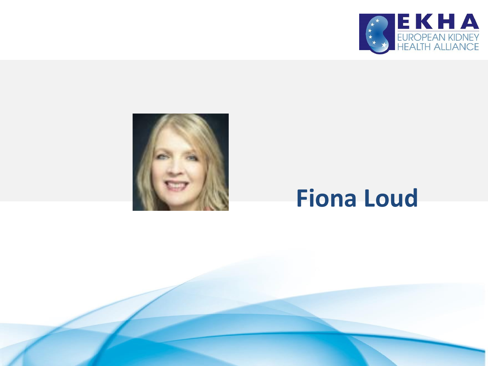



### **Fiona Loud**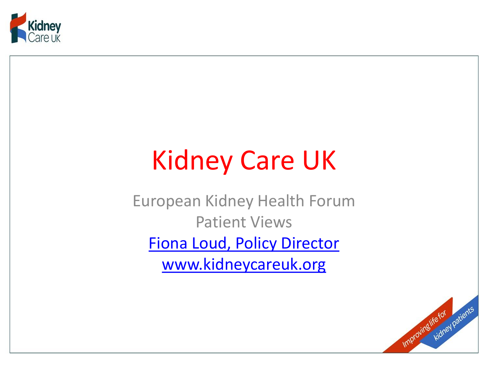

## Kidney Care UK

European Kidney Health Forum Patient Views Fiona Loud, Policy Director www.kidneycareuk.org

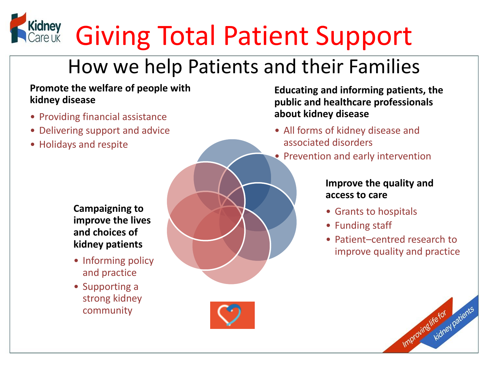# Kidney Giving Total Patient Support

#### How we help Patients and their Families

#### **Promote the welfare of people with kidney disease**

- Providing financial assistance
- Delivering support and advice
- Holidays and respite

**Campaigning to improve the lives and choices of kidney patients**

- Informing policy and practice
- Supporting a strong kidney community

**Educating and informing patients, the public and healthcare professionals about kidney disease**

- All forms of kidney disease and associated disorders
- Prevention and early intervention

#### **Improve the quality and access to care**

- Grants to hospitals
- Funding staff
- Patient–centred research to improve quality and practice

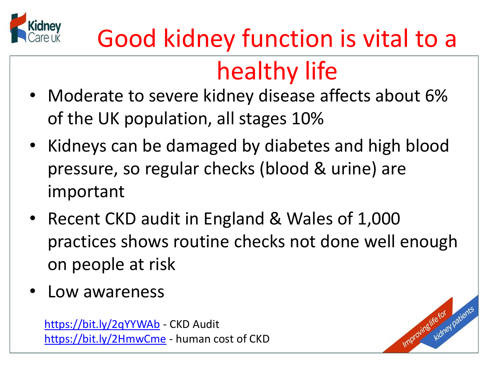

## Good kidney function is vital to a

## healthy life

- Moderate to severe kidney disease affects about 6% of the UK population, all stages 10%
- Kidneys can be damaged by diabetes and high blood pressure, so regular checks (blood & urine) are important
- Recent CKD audit in England & Wales of 1,000 practices shows routine checks not done well enough on people at risk
- Low awareness

<https://bit.ly/2qYYWAb> - CKD Audit <https://bit.ly/2HmwCme> - human cost of CKD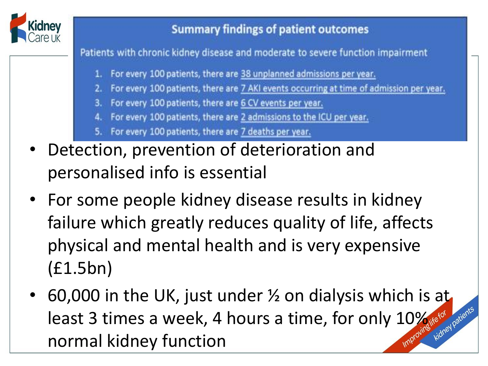

#### **Summary findings of patient outcomes**

Patients with chronic kidney disease and moderate to severe function impairment

- 1. For every 100 patients, there are 38 unplanned admissions per year.
- For every 100 patients, there are 7 AKI events occurring at time of admission per year.
- For every 100 patients, there are 6 CV events per year.
- For every 100 patients, there are 2 admissions to the ICU per year.
- For every 100 patients, there are 7 deaths per year.
- Detection, prevention of deterioration and personalised info is essential
- For some people kidney disease results in kidney failure which greatly reduces quality of life, affects physical and mental health and is very expensive (£1.5bn)
- 60,000 in the UK, just under  $\frac{1}{2}$  on dialysis which is at least 3 times a week, 4 hours a time, for only  $10\%$ normal kidney function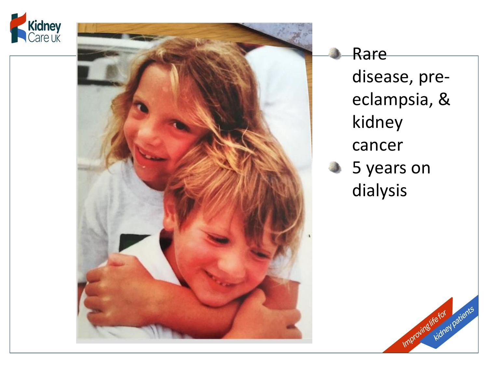



Rare disease, pre eclampsia, & kidney cancer 5 years on dialysis

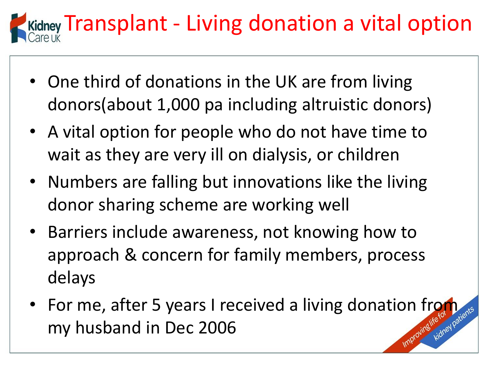

- One third of donations in the UK are from living donors(about 1,000 pa including altruistic donors)
- A vital option for people who do not have time to wait as they are very ill on dialysis, or children
- Numbers are falling but innovations like the living donor sharing scheme are working well
- Barriers include awareness, not knowing how to approach & concern for family members, process delays
- For me, after 5 years I received a living donation from my husband in Dec 2006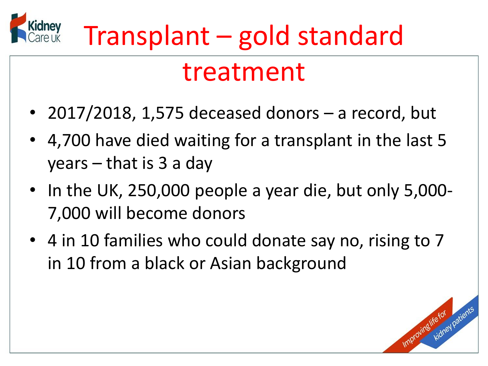

### treatment

- 2017/2018, 1,575 deceased donors a record, but
- 4,700 have died waiting for a transplant in the last 5 years – that is 3 a day
- In the UK, 250,000 people a year die, but only 5,000- 7,000 will become donors
- 4 in 10 families who could donate say no, rising to 7 in 10 from a black or Asian background

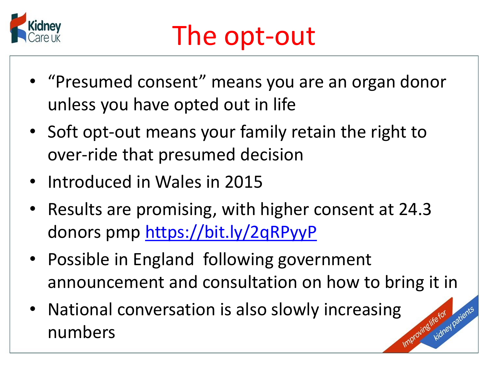

- "Presumed consent" means you are an organ donor unless you have opted out in life
- Soft opt-out means your family retain the right to over-ride that presumed decision
- Introduced in Wales in 2015
- Results are promising, with higher consent at 24.3 donors pmp <https://bit.ly/2qRPyyP>
- Possible in England following government announcement and consultation on how to bring it in
- National conversation is also slowly increasing numbers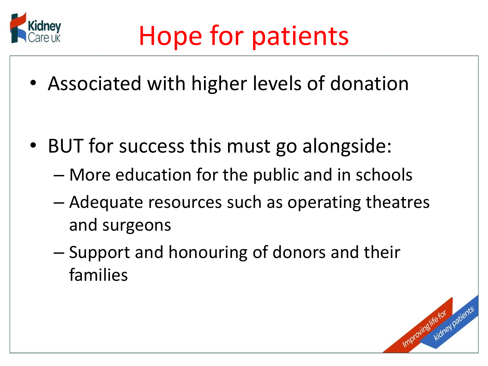

• Associated with higher levels of donation

- BUT for success this must go alongside:
	- More education for the public and in schools
	- Adequate resources such as operating theatres and surgeons
	- Support and honouring of donors and their families

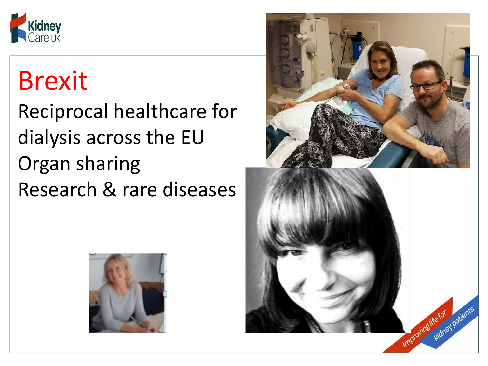

### Brexit

Reciprocal healthcare for dialysis across the EU Organ sharing Research & rare diseases



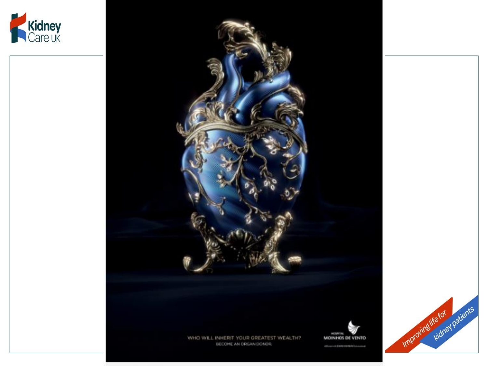